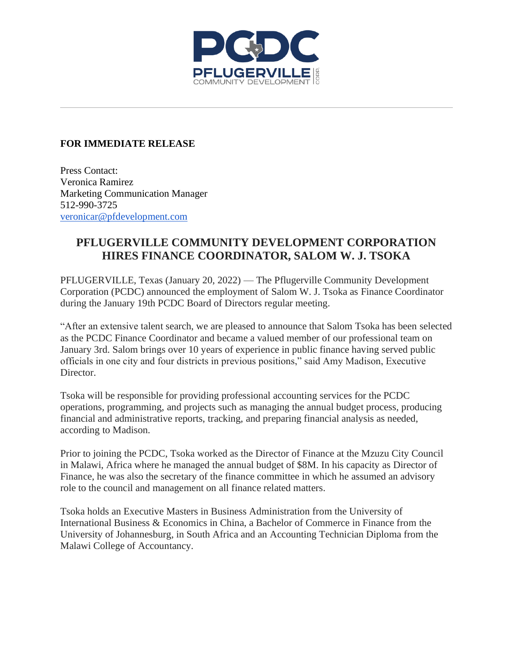

## **FOR IMMEDIATE RELEASE**

Press Contact: Veronica Ramirez Marketing Communication Manager 512-990-3725 [veronicar@pfdevelopment.com](mailto:veronicar@pfdevelopment.com)

## **PFLUGERVILLE COMMUNITY DEVELOPMENT CORPORATION HIRES FINANCE COORDINATOR, SALOM W. J. TSOKA**

PFLUGERVILLE, Texas (January 20, 2022) — The Pflugerville Community Development Corporation (PCDC) announced the employment of Salom W. J. Tsoka as Finance Coordinator during the January 19th PCDC Board of Directors regular meeting.

"After an extensive talent search, we are pleased to announce that Salom Tsoka has been selected as the PCDC Finance Coordinator and became a valued member of our professional team on January 3rd. Salom brings over 10 years of experience in public finance having served public officials in one city and four districts in previous positions," said Amy Madison, Executive Director.

Tsoka will be responsible for providing professional accounting services for the PCDC operations, programming, and projects such as managing the annual budget process, producing financial and administrative reports, tracking, and preparing financial analysis as needed, according to Madison.

Prior to joining the PCDC, Tsoka worked as the Director of Finance at the Mzuzu City Council in Malawi, Africa where he managed the annual budget of \$8M. In his capacity as Director of Finance, he was also the secretary of the finance committee in which he assumed an advisory role to the council and management on all finance related matters.

Tsoka holds an Executive Masters in Business Administration from the University of International Business & Economics in China, a Bachelor of Commerce in Finance from the University of Johannesburg, in South Africa and an Accounting Technician Diploma from the Malawi College of Accountancy.